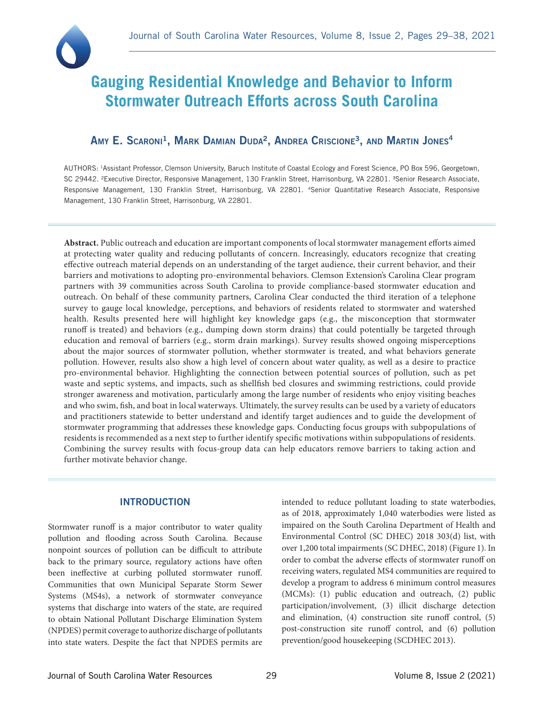

# **Gauging Residential Knowledge and Behavior to Inform Stormwater Outreach Efforts across South Carolina**

## AMY E. SCARONI<sup>1</sup>, MARK DAMIAN DUDA<sup>2</sup>, ANDREA CRISCIONE<sup>3</sup>, AND MARTIN JONES<sup>4</sup>

AUTHORS: 1Assistant Professor, Clemson University, Baruch Institute of Coastal Ecology and Forest Science, PO Box 596, Georgetown, SC 29442. <sup>2</sup>Executive Director, Responsive Management, 130 Franklin Street, Harrisonburg, VA 22801. <sup>3</sup>Senior Research Associate, Responsive Management, 130 Franklin Street, Harrisonburg, VA 22801. 4Senior Quantitative Research Associate, Responsive Management, 130 Franklin Street, Harrisonburg, VA 22801.

**Abstract.** Public outreach and education are important components of local stormwater management efforts aimed at protecting water quality and reducing pollutants of concern. Increasingly, educators recognize that creating effective outreach material depends on an understanding of the target audience, their current behavior, and their barriers and motivations to adopting pro-environmental behaviors. Clemson Extension's Carolina Clear program partners with 39 communities across South Carolina to provide compliance-based stormwater education and outreach. On behalf of these community partners, Carolina Clear conducted the third iteration of a telephone survey to gauge local knowledge, perceptions, and behaviors of residents related to stormwater and watershed health. Results presented here will highlight key knowledge gaps (e.g., the misconception that stormwater runoff is treated) and behaviors (e.g., dumping down storm drains) that could potentially be targeted through education and removal of barriers (e.g., storm drain markings). Survey results showed ongoing misperceptions about the major sources of stormwater pollution, whether stormwater is treated, and what behaviors generate pollution. However, results also show a high level of concern about water quality, as well as a desire to practice pro-environmental behavior. Highlighting the connection between potential sources of pollution, such as pet waste and septic systems, and impacts, such as shellfish bed closures and swimming restrictions, could provide stronger awareness and motivation, particularly among the large number of residents who enjoy visiting beaches and who swim, fish, and boat in local waterways. Ultimately, the survey results can be used by a variety of educators and practitioners statewide to better understand and identify target audiences and to guide the development of stormwater programming that addresses these knowledge gaps. Conducting focus groups with subpopulations of residents is recommended as a next step to further identify specific motivations within subpopulations of residents. Combining the survey results with focus-group data can help educators remove barriers to taking action and further motivate behavior change.

## INTRODUCTION

Stormwater runoff is a major contributor to water quality pollution and flooding across South Carolina. Because nonpoint sources of pollution can be difficult to attribute back to the primary source, regulatory actions have often been ineffective at curbing polluted stormwater runoff. Communities that own Municipal Separate Storm Sewer Systems (MS4s), a network of stormwater conveyance systems that discharge into waters of the state, are required to obtain National Pollutant Discharge Elimination System (NPDES) permit coverage to authorize discharge of pollutants into state waters. Despite the fact that NPDES permits are

intended to reduce pollutant loading to state waterbodies, as of 2018, approximately 1,040 waterbodies were listed as impaired on the South Carolina Department of Health and Environmental Control (SC DHEC) 2018 303(d) list, with over 1,200 total impairments (SC DHEC, 2018) (Figure 1). In order to combat the adverse effects of stormwater runoff on receiving waters, regulated MS4 communities are required to develop a program to address 6 minimum control measures (MCMs): (1) public education and outreach, (2) public participation/involvement, (3) illicit discharge detection and elimination, (4) construction site runoff control, (5) post-construction site runoff control, and (6) pollution prevention/good housekeeping (SCDHEC 2013).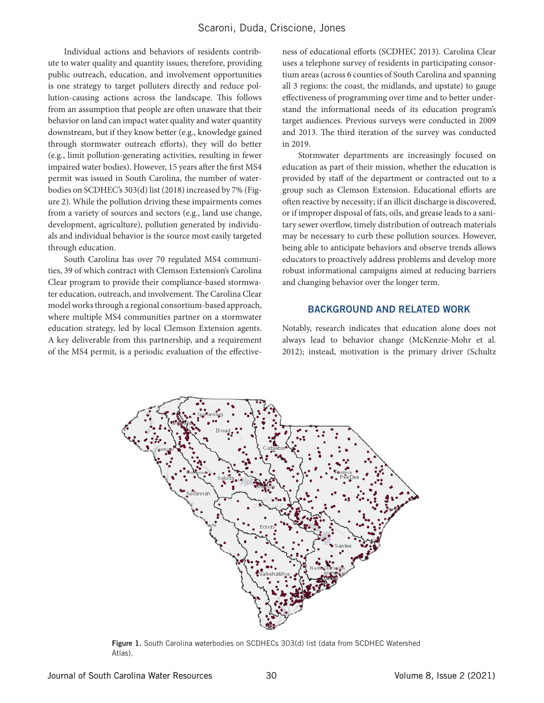## Scaroni, Duda, Criscione, Jones

Individual actions and behaviors of residents contribute to water quality and quantity issues; therefore, providing public outreach, education, and involvement opportunities is one strategy to target polluters directly and reduce pollution-causing actions across the landscape. This follows from an assumption that people are often unaware that their behavior on land can impact water quality and water quantity downstream, but if they know better (e.g., knowledge gained through stormwater outreach efforts), they will do better (e.g., limit pollution-generating activities, resulting in fewer impaired water bodies). However, 15 years after the first MS4 permit was issued in South Carolina, the number of waterbodies on SCDHEC's 303(d) list (2018) increased by 7% (Figure 2). While the pollution driving these impairments comes from a variety of sources and sectors (e.g., land use change, development, agriculture), pollution generated by individuals and individual behavior is the source most easily targeted through education.

South Carolina has over 70 regulated MS4 communities, 39 of which contract with Clemson Extension's Carolina Clear program to provide their compliance-based stormwater education, outreach, and involvement. The Carolina Clear model works through a regional consortium-based approach, where multiple MS4 communities partner on a stormwater education strategy, led by local Clemson Extension agents. A key deliverable from this partnership, and a requirement of the MS4 permit, is a periodic evaluation of the effectiveness of educational efforts (SCDHEC 2013). Carolina Clear uses a telephone survey of residents in participating consortium areas (across 6 counties of South Carolina and spanning all 3 regions: the coast, the midlands, and upstate) to gauge effectiveness of programming over time and to better understand the informational needs of its education program's target audiences. Previous surveys were conducted in 2009 and 2013. The third iteration of the survey was conducted in 2019.

Stormwater departments are increasingly focused on education as part of their mission, whether the education is provided by staff of the department or contracted out to a group such as Clemson Extension. Educational efforts are often reactive by necessity; if an illicit discharge is discovered, or if improper disposal of fats, oils, and grease leads to a sanitary sewer overflow, timely distribution of outreach materials may be necessary to curb these pollution sources. However, being able to anticipate behaviors and observe trends allows educators to proactively address problems and develop more robust informational campaigns aimed at reducing barriers and changing behavior over the longer term.

#### BACKGROUND AND RELATED WORK

Notably, research indicates that education alone does not always lead to behavior change (McKenzie-Mohr et al. 2012); instead, motivation is the primary driver (Schultz



Figure 1. South Carolina waterbodies on SCDHECs 303(d) list (data from SCDHEC Watershed Atlas).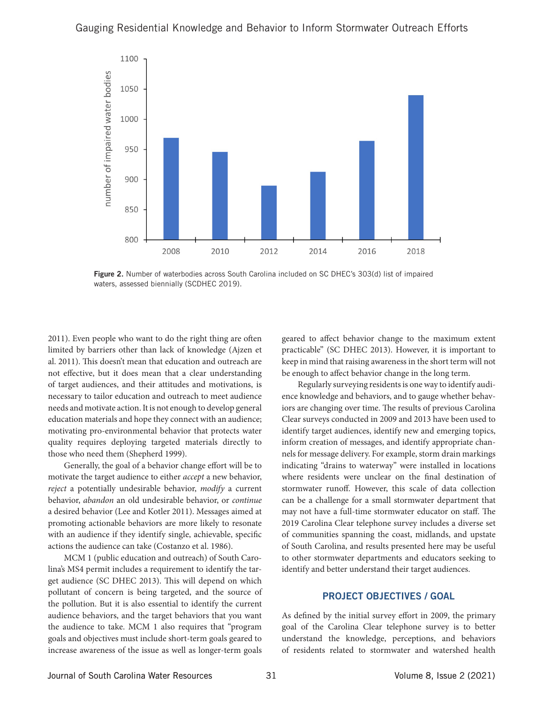## Gauging Residential Knowledge and Behavior to Inform Stormwater Outreach Efforts



Figure 2. Number of waterbodies across South Carolina included on SC DHEC's 303(d) list of impaired waters, assessed biennially (SCDHEC 2019).

2011). Even people who want to do the right thing are often limited by barriers other than lack of knowledge (Ajzen et al. 2011). This doesn't mean that education and outreach are not effective, but it does mean that a clear understanding of target audiences, and their attitudes and motivations, is necessary to tailor education and outreach to meet audience needs and motivate action. It is not enough to develop general education materials and hope they connect with an audience; motivating pro-environmental behavior that protects water quality requires deploying targeted materials directly to those who need them (Shepherd 1999).

Generally, the goal of a behavior change effort will be to motivate the target audience to either *accept* a new behavior, *reject* a potentially undesirable behavior, *modify* a current behavior, *abandon* an old undesirable behavior, or *continue* a desired behavior (Lee and Kotler 2011). Messages aimed at promoting actionable behaviors are more likely to resonate with an audience if they identify single, achievable, specific actions the audience can take (Costanzo et al. 1986).

MCM 1 (public education and outreach) of South Carolina's MS4 permit includes a requirement to identify the target audience (SC DHEC 2013). This will depend on which pollutant of concern is being targeted, and the source of the pollution. But it is also essential to identify the current audience behaviors, and the target behaviors that you want the audience to take. MCM 1 also requires that "program goals and objectives must include short-term goals geared to increase awareness of the issue as well as longer-term goals

geared to affect behavior change to the maximum extent practicable" (SC DHEC 2013). However, it is important to keep in mind that raising awareness in the short term will not be enough to affect behavior change in the long term.

Regularly surveying residents is one way to identify audience knowledge and behaviors, and to gauge whether behaviors are changing over time. The results of previous Carolina Clear surveys conducted in 2009 and 2013 have been used to identify target audiences, identify new and emerging topics, inform creation of messages, and identify appropriate channels for message delivery. For example, storm drain markings indicating "drains to waterway" were installed in locations where residents were unclear on the final destination of stormwater runoff. However, this scale of data collection can be a challenge for a small stormwater department that may not have a full-time stormwater educator on staff. The 2019 Carolina Clear telephone survey includes a diverse set of communities spanning the coast, midlands, and upstate of South Carolina, and results presented here may be useful to other stormwater departments and educators seeking to identify and better understand their target audiences.

## PROJECT OBJECTIVES / GOAL

As defined by the initial survey effort in 2009, the primary goal of the Carolina Clear telephone survey is to better understand the knowledge, perceptions, and behaviors of residents related to stormwater and watershed health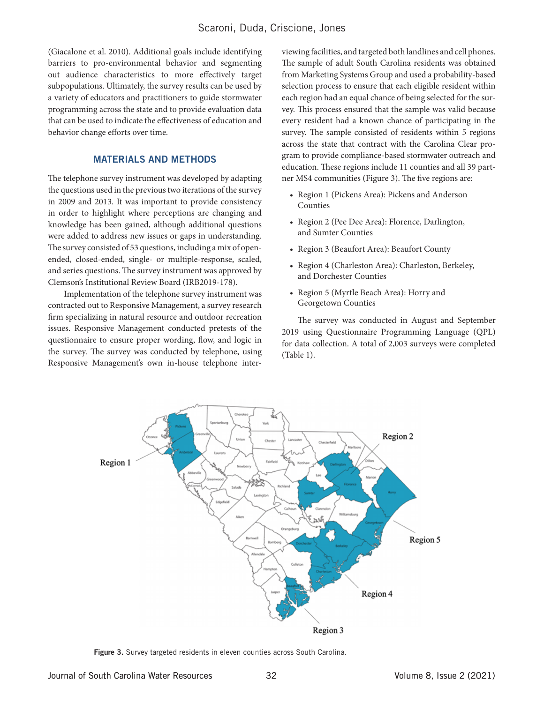(Giacalone et al. 2010). Additional goals include identifying barriers to pro-environmental behavior and segmenting out audience characteristics to more effectively target subpopulations. Ultimately, the survey results can be used by a variety of educators and practitioners to guide stormwater programming across the state and to provide evaluation data that can be used to indicate the effectiveness of education and behavior change efforts over time.

## MATERIALS AND METHODS

The telephone survey instrument was developed by adapting the questions used in the previous two iterations of the survey in 2009 and 2013. It was important to provide consistency in order to highlight where perceptions are changing and knowledge has been gained, although additional questions were added to address new issues or gaps in understanding. The survey consisted of 53 questions, including a mix of openended, closed-ended, single- or multiple-response, scaled, and series questions. The survey instrument was approved by Clemson's Institutional Review Board (IRB2019-178).

Implementation of the telephone survey instrument was contracted out to Responsive Management, a survey research firm specializing in natural resource and outdoor recreation issues. Responsive Management conducted pretests of the questionnaire to ensure proper wording, flow, and logic in the survey. The survey was conducted by telephone, using Responsive Management's own in-house telephone interviewing facilities, and targeted both landlines and cell phones. The sample of adult South Carolina residents was obtained from Marketing Systems Group and used a probability-based selection process to ensure that each eligible resident within each region had an equal chance of being selected for the survey. This process ensured that the sample was valid because every resident had a known chance of participating in the survey. The sample consisted of residents within 5 regions across the state that contract with the Carolina Clear program to provide compliance-based stormwater outreach and education. These regions include 11 counties and all 39 partner MS4 communities (Figure 3). The five regions are:

- Region 1 (Pickens Area): Pickens and Anderson Counties
- Region 2 (Pee Dee Area): Florence, Darlington, and Sumter Counties
- Region 3 (Beaufort Area): Beaufort County
- Region 4 (Charleston Area): Charleston, Berkeley, and Dorchester Counties
- Region 5 (Myrtle Beach Area): Horry and Georgetown Counties

The survey was conducted in August and September 2019 using Questionnaire Programming Language (QPL) for data collection. A total of 2,003 surveys were completed (Table 1).



Figure 3. Survey targeted residents in eleven counties across South Carolina.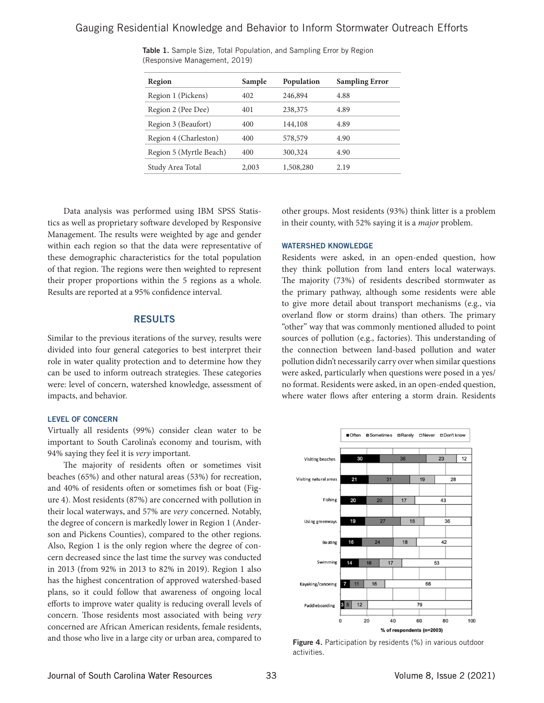| Region                  | Sample | Population | <b>Sampling Error</b> |
|-------------------------|--------|------------|-----------------------|
| Region 1 (Pickens)      | 402    | 246,894    | 4.88                  |
| Region 2 (Pee Dee)      | 401    | 238,375    | 4.89                  |
| Region 3 (Beaufort)     | 400    | 144,108    | 4.89                  |
| Region 4 (Charleston)   | 400    | 578,579    | 4.90                  |
| Region 5 (Myrtle Beach) | 400    | 300,324    | 4.90                  |
| Study Area Total        | 2,003  | 1,508,280  | 2.19                  |
|                         |        |            |                       |

Table 1. Sample Size, Total Population, and Sampling Error by Region (Responsive Management, 2019)

Data analysis was performed using IBM SPSS Statistics as well as proprietary software developed by Responsive Management. The results were weighted by age and gender within each region so that the data were representative of these demographic characteristics for the total population of that region. The regions were then weighted to represent their proper proportions within the 5 regions as a whole. Results are reported at a 95% confidence interval.

#### RESULTS

Similar to the previous iterations of the survey, results were divided into four general categories to best interpret their role in water quality protection and to determine how they can be used to inform outreach strategies. These categories were: level of concern, watershed knowledge, assessment of impacts, and behavior.

#### LEVEL OF CONCERN

Virtually all residents (99%) consider clean water to be important to South Carolina's economy and tourism, with 94% saying they feel it is *very* important.

The majority of residents often or sometimes visit beaches (65%) and other natural areas (53%) for recreation, and 40% of residents often or sometimes fish or boat (Figure 4). Most residents (87%) are concerned with pollution in their local waterways, and 57% are *very* concerned. Notably, the degree of concern is markedly lower in Region 1 (Anderson and Pickens Counties), compared to the other regions. Also, Region 1 is the only region where the degree of concern decreased since the last time the survey was conducted in 2013 (from 92% in 2013 to 82% in 2019). Region 1 also has the highest concentration of approved watershed-based plans, so it could follow that awareness of ongoing local efforts to improve water quality is reducing overall levels of concern. Those residents most associated with being *very*  concerned are African American residents, female residents, and those who live in a large city or urban area, compared to

other groups. Most residents (93%) think litter is a problem in their county, with 52% saying it is a *major* problem.

#### WATERSHED KNOWLEDGE

Residents were asked, in an open-ended question, how they think pollution from land enters local waterways. The majority (73%) of residents described stormwater as the primary pathway, although some residents were able to give more detail about transport mechanisms (e.g., via overland flow or storm drains) than others. The primary "other" way that was commonly mentioned alluded to point sources of pollution (e.g., factories). This understanding of the connection between land-based pollution and water pollution didn't necessarily carry over when similar questions were asked, particularly when questions were posed in a yes/ no format. Residents were asked, in an open-ended question, where water flows after entering a storm drain. Residents



Figure 4. Participation by residents (%) in various outdoor activities.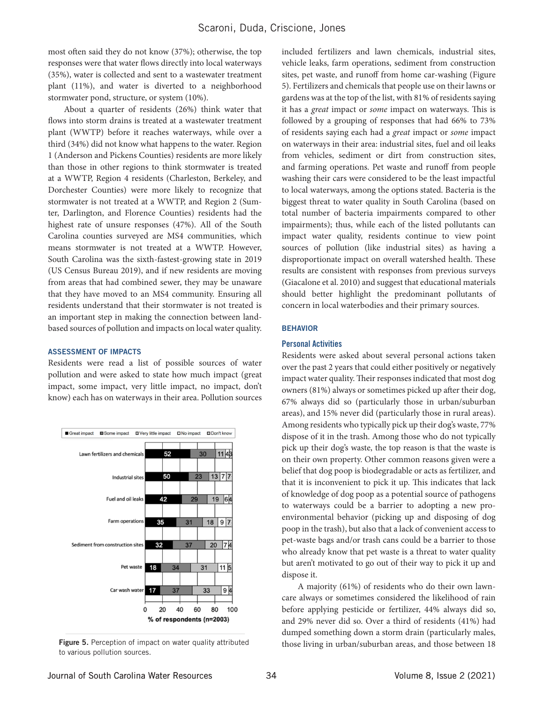most often said they do not know (37%); otherwise, the top responses were that water flows directly into local waterways (35%), water is collected and sent to a wastewater treatment plant (11%), and water is diverted to a neighborhood stormwater pond, structure, or system (10%).

About a quarter of residents (26%) think water that flows into storm drains is treated at a wastewater treatment plant (WWTP) before it reaches waterways, while over a third (34%) did not know what happens to the water. Region 1 (Anderson and Pickens Counties) residents are more likely than those in other regions to think stormwater is treated at a WWTP, Region 4 residents (Charleston, Berkeley, and Dorchester Counties) were more likely to recognize that stormwater is not treated at a WWTP, and Region 2 (Sumter, Darlington, and Florence Counties) residents had the highest rate of unsure responses (47%). All of the South Carolina counties surveyed are MS4 communities, which means stormwater is not treated at a WWTP. However, South Carolina was the sixth-fastest-growing state in 2019 (US Census Bureau 2019), and if new residents are moving from areas that had combined sewer, they may be unaware that they have moved to an MS4 community. Ensuring all residents understand that their stormwater is not treated is an important step in making the connection between landbased sources of pollution and impacts on local water quality.

#### ASSESSMENT OF IMPACTS

Residents were read a list of possible sources of water pollution and were asked to state how much impact (great impact, some impact, very little impact, no impact, don't know) each has on waterways in their area. Pollution sources



to various pollution sources.

included fertilizers and lawn chemicals, industrial sites, vehicle leaks, farm operations, sediment from construction sites, pet waste, and runoff from home car-washing (Figure 5). Fertilizers and chemicals that people use on their lawns or gardens was at the top of the list, with 81% of residents saying it has a *great* impact or *some* impact on waterways. This is followed by a grouping of responses that had 66% to 73% of residents saying each had a *great* impact or *some* impact on waterways in their area: industrial sites, fuel and oil leaks from vehicles, sediment or dirt from construction sites, and farming operations. Pet waste and runoff from people washing their cars were considered to be the least impactful to local waterways, among the options stated. Bacteria is the biggest threat to water quality in South Carolina (based on total number of bacteria impairments compared to other impairments); thus, while each of the listed pollutants can impact water quality, residents continue to view point sources of pollution (like industrial sites) as having a disproportionate impact on overall watershed health. These results are consistent with responses from previous surveys (Giacalone et al. 2010) and suggest that educational materials should better highlight the predominant pollutants of concern in local waterbodies and their primary sources.

#### BEHAVIOR

#### Personal Activities

Residents were asked about several personal actions taken over the past 2 years that could either positively or negatively impact water quality. Their responses indicated that most dog owners (81%) always or sometimes picked up after their dog, 67% always did so (particularly those in urban/suburban areas), and 15% never did (particularly those in rural areas). Among residents who typically pick up their dog's waste, 77% dispose of it in the trash. Among those who do not typically pick up their dog's waste, the top reason is that the waste is on their own property. Other common reasons given were a belief that dog poop is biodegradable or acts as fertilizer, and that it is inconvenient to pick it up. This indicates that lack of knowledge of dog poop as a potential source of pathogens to waterways could be a barrier to adopting a new proenvironmental behavior (picking up and disposing of dog poop in the trash), but also that a lack of convenient access to pet-waste bags and/or trash cans could be a barrier to those who already know that pet waste is a threat to water quality but aren't motivated to go out of their way to pick it up and dispose it.

A majority (61%) of residents who do their own lawncare always or sometimes considered the likelihood of rain before applying pesticide or fertilizer, 44% always did so, and 29% never did so. Over a third of residents (41%) had dumped something down a storm drain (particularly males, Figure 5. Perception of impact on water quality attributed those living in urban/suburban areas, and those between 18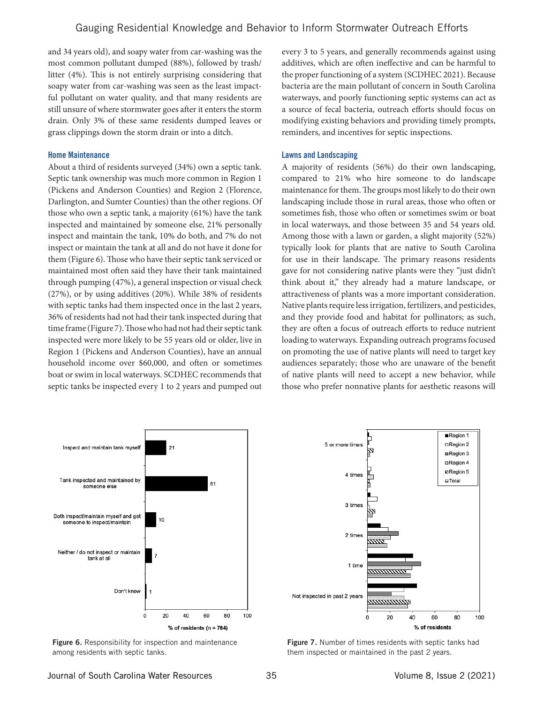and 34 years old), and soapy water from car-washing was the most common pollutant dumped (88%), followed by trash/ litter (4%). This is not entirely surprising considering that soapy water from car-washing was seen as the least impactful pollutant on water quality, and that many residents are still unsure of where stormwater goes after it enters the storm drain. Only 3% of these same residents dumped leaves or grass clippings down the storm drain or into a ditch.

#### Home Maintenance

About a third of residents surveyed (34%) own a septic tank. Septic tank ownership was much more common in Region 1 (Pickens and Anderson Counties) and Region 2 (Florence, Darlington, and Sumter Counties) than the other regions. Of those who own a septic tank, a majority (61%) have the tank inspected and maintained by someone else, 21% personally inspect and maintain the tank, 10% do both, and 7% do not inspect or maintain the tank at all and do not have it done for them (Figure 6). Those who have their septic tank serviced or maintained most often said they have their tank maintained through pumping (47%), a general inspection or visual check (27%), or by using additives (20%). While 38% of residents with septic tanks had them inspected once in the last 2 years, 36% of residents had not had their tank inspected during that time frame (Figure 7). Those who had not had their septic tank inspected were more likely to be 55 years old or older, live in Region 1 (Pickens and Anderson Counties), have an annual household income over \$60,000, and often or sometimes boat or swim in local waterways. SCDHEC recommends that septic tanks be inspected every 1 to 2 years and pumped out every 3 to 5 years, and generally recommends against using additives, which are often ineffective and can be harmful to the proper functioning of a system (SCDHEC 2021). Because bacteria are the main pollutant of concern in South Carolina waterways, and poorly functioning septic systems can act as a source of fecal bacteria, outreach efforts should focus on modifying existing behaviors and providing timely prompts, reminders, and incentives for septic inspections.

#### Lawns and Landscaping

A majority of residents (56%) do their own landscaping, compared to 21% who hire someone to do landscape maintenance for them. The groups most likely to do their own landscaping include those in rural areas, those who often or sometimes fish, those who often or sometimes swim or boat in local waterways, and those between 35 and 54 years old. Among those with a lawn or garden, a slight majority (52%) typically look for plants that are native to South Carolina for use in their landscape. The primary reasons residents gave for not considering native plants were they "just didn't think about it," they already had a mature landscape, or attractiveness of plants was a more important consideration. Native plants require less irrigation, fertilizers, and pesticides, and they provide food and habitat for pollinators; as such, they are often a focus of outreach efforts to reduce nutrient loading to waterways. Expanding outreach programs focused on promoting the use of native plants will need to target key audiences separately; those who are unaware of the benefit of native plants will need to accept a new behavior, while those who prefer nonnative plants for aesthetic reasons will



**Figure 6.** Responsibility for inspection and maintenance among residents with septic tanks.



Figure 7. Number of times residents with septic tanks had them inspected or maintained in the past 2 years.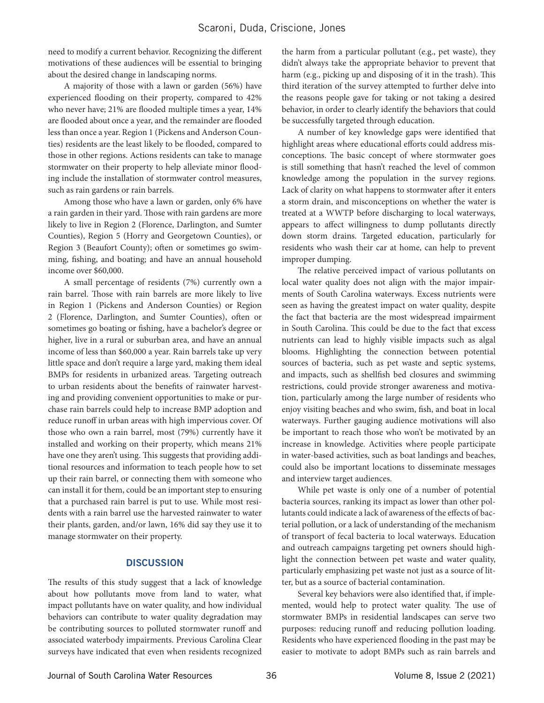need to modify a current behavior. Recognizing the different motivations of these audiences will be essential to bringing about the desired change in landscaping norms.

A majority of those with a lawn or garden (56%) have experienced flooding on their property, compared to 42% who never have; 21% are flooded multiple times a year, 14% are flooded about once a year, and the remainder are flooded less than once a year. Region 1 (Pickens and Anderson Counties) residents are the least likely to be flooded, compared to those in other regions. Actions residents can take to manage stormwater on their property to help alleviate minor flooding include the installation of stormwater control measures, such as rain gardens or rain barrels.

Among those who have a lawn or garden, only 6% have a rain garden in their yard. Those with rain gardens are more likely to live in Region 2 (Florence, Darlington, and Sumter Counties), Region 5 (Horry and Georgetown Counties), or Region 3 (Beaufort County); often or sometimes go swimming, fishing, and boating; and have an annual household income over \$60,000.

A small percentage of residents (7%) currently own a rain barrel. Those with rain barrels are more likely to live in Region 1 (Pickens and Anderson Counties) or Region 2 (Florence, Darlington, and Sumter Counties), often or sometimes go boating or fishing, have a bachelor's degree or higher, live in a rural or suburban area, and have an annual income of less than \$60,000 a year. Rain barrels take up very little space and don't require a large yard, making them ideal BMPs for residents in urbanized areas. Targeting outreach to urban residents about the benefits of rainwater harvesting and providing convenient opportunities to make or purchase rain barrels could help to increase BMP adoption and reduce runoff in urban areas with high impervious cover. Of those who own a rain barrel, most (79%) currently have it installed and working on their property, which means 21% have one they aren't using. This suggests that providing additional resources and information to teach people how to set up their rain barrel, or connecting them with someone who can install it for them, could be an important step to ensuring that a purchased rain barrel is put to use. While most residents with a rain barrel use the harvested rainwater to water their plants, garden, and/or lawn, 16% did say they use it to manage stormwater on their property.

### **DISCUSSION**

The results of this study suggest that a lack of knowledge about how pollutants move from land to water, what impact pollutants have on water quality, and how individual behaviors can contribute to water quality degradation may be contributing sources to polluted stormwater runoff and associated waterbody impairments. Previous Carolina Clear surveys have indicated that even when residents recognized

the harm from a particular pollutant (e.g., pet waste), they didn't always take the appropriate behavior to prevent that harm (e.g., picking up and disposing of it in the trash). This third iteration of the survey attempted to further delve into the reasons people gave for taking or not taking a desired behavior, in order to clearly identify the behaviors that could be successfully targeted through education.

A number of key knowledge gaps were identified that highlight areas where educational efforts could address misconceptions. The basic concept of where stormwater goes is still something that hasn't reached the level of common knowledge among the population in the survey regions. Lack of clarity on what happens to stormwater after it enters a storm drain, and misconceptions on whether the water is treated at a WWTP before discharging to local waterways, appears to affect willingness to dump pollutants directly down storm drains. Targeted education, particularly for residents who wash their car at home, can help to prevent improper dumping.

The relative perceived impact of various pollutants on local water quality does not align with the major impairments of South Carolina waterways. Excess nutrients were seen as having the greatest impact on water quality, despite the fact that bacteria are the most widespread impairment in South Carolina. This could be due to the fact that excess nutrients can lead to highly visible impacts such as algal blooms. Highlighting the connection between potential sources of bacteria, such as pet waste and septic systems, and impacts, such as shellfish bed closures and swimming restrictions, could provide stronger awareness and motivation, particularly among the large number of residents who enjoy visiting beaches and who swim, fish, and boat in local waterways. Further gauging audience motivations will also be important to reach those who won't be motivated by an increase in knowledge. Activities where people participate in water-based activities, such as boat landings and beaches, could also be important locations to disseminate messages and interview target audiences.

While pet waste is only one of a number of potential bacteria sources, ranking its impact as lower than other pollutants could indicate a lack of awareness of the effects of bacterial pollution, or a lack of understanding of the mechanism of transport of fecal bacteria to local waterways. Education and outreach campaigns targeting pet owners should highlight the connection between pet waste and water quality, particularly emphasizing pet waste not just as a source of litter, but as a source of bacterial contamination.

Several key behaviors were also identified that, if implemented, would help to protect water quality. The use of stormwater BMPs in residential landscapes can serve two purposes: reducing runoff and reducing pollution loading. Residents who have experienced flooding in the past may be easier to motivate to adopt BMPs such as rain barrels and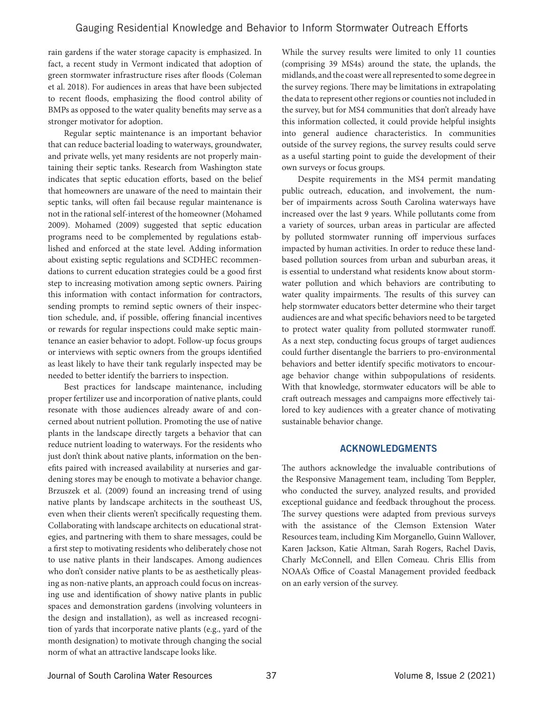rain gardens if the water storage capacity is emphasized. In fact, a recent study in Vermont indicated that adoption of green stormwater infrastructure rises after floods (Coleman et al. 2018). For audiences in areas that have been subjected to recent floods, emphasizing the flood control ability of BMPs as opposed to the water quality benefits may serve as a stronger motivator for adoption.

Regular septic maintenance is an important behavior that can reduce bacterial loading to waterways, groundwater, and private wells, yet many residents are not properly maintaining their septic tanks. Research from Washington state indicates that septic education efforts, based on the belief that homeowners are unaware of the need to maintain their septic tanks, will often fail because regular maintenance is not in the rational self-interest of the homeowner (Mohamed 2009). Mohamed (2009) suggested that septic education programs need to be complemented by regulations established and enforced at the state level. Adding information about existing septic regulations and SCDHEC recommendations to current education strategies could be a good first step to increasing motivation among septic owners. Pairing this information with contact information for contractors, sending prompts to remind septic owners of their inspection schedule, and, if possible, offering financial incentives or rewards for regular inspections could make septic maintenance an easier behavior to adopt. Follow-up focus groups or interviews with septic owners from the groups identified as least likely to have their tank regularly inspected may be needed to better identify the barriers to inspection.

Best practices for landscape maintenance, including proper fertilizer use and incorporation of native plants, could resonate with those audiences already aware of and concerned about nutrient pollution. Promoting the use of native plants in the landscape directly targets a behavior that can reduce nutrient loading to waterways. For the residents who just don't think about native plants, information on the benefits paired with increased availability at nurseries and gardening stores may be enough to motivate a behavior change. Brzuszek et al. (2009) found an increasing trend of using native plants by landscape architects in the southeast US, even when their clients weren't specifically requesting them. Collaborating with landscape architects on educational strategies, and partnering with them to share messages, could be a first step to motivating residents who deliberately chose not to use native plants in their landscapes. Among audiences who don't consider native plants to be as aesthetically pleasing as non-native plants, an approach could focus on increasing use and identification of showy native plants in public spaces and demonstration gardens (involving volunteers in the design and installation), as well as increased recognition of yards that incorporate native plants (e.g., yard of the month designation) to motivate through changing the social norm of what an attractive landscape looks like.

While the survey results were limited to only 11 counties (comprising 39 MS4s) around the state, the uplands, the midlands, and the coast were all represented to some degree in the survey regions. There may be limitations in extrapolating the data to represent other regions or counties not included in the survey, but for MS4 communities that don't already have this information collected, it could provide helpful insights into general audience characteristics. In communities outside of the survey regions, the survey results could serve as a useful starting point to guide the development of their own surveys or focus groups.

Despite requirements in the MS4 permit mandating public outreach, education, and involvement, the number of impairments across South Carolina waterways have increased over the last 9 years. While pollutants come from a variety of sources, urban areas in particular are affected by polluted stormwater running off impervious surfaces impacted by human activities. In order to reduce these landbased pollution sources from urban and suburban areas, it is essential to understand what residents know about stormwater pollution and which behaviors are contributing to water quality impairments. The results of this survey can help stormwater educators better determine who their target audiences are and what specific behaviors need to be targeted to protect water quality from polluted stormwater runoff. As a next step, conducting focus groups of target audiences could further disentangle the barriers to pro-environmental behaviors and better identify specific motivators to encourage behavior change within subpopulations of residents. With that knowledge, stormwater educators will be able to craft outreach messages and campaigns more effectively tailored to key audiences with a greater chance of motivating sustainable behavior change.

## ACKNOWLEDGMENTS

The authors acknowledge the invaluable contributions of the Responsive Management team, including Tom Beppler, who conducted the survey, analyzed results, and provided exceptional guidance and feedback throughout the process. The survey questions were adapted from previous surveys with the assistance of the Clemson Extension Water Resources team, including Kim Morganello, Guinn Wallover, Karen Jackson, Katie Altman, Sarah Rogers, Rachel Davis, Charly McConnell, and Ellen Comeau. Chris Ellis from NOAA's Office of Coastal Management provided feedback on an early version of the survey.